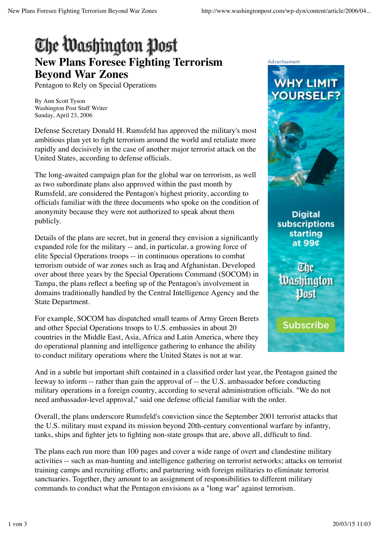## The Washington Post **New Plans Foresee Fighting Terrorism Beyond War Zones**

Pentagon to Rely on Special Operations

By Ann Scott Tyson Washington Post Staff Writer Sunday, April 23, 2006

Defense Secretary Donald H. Rumsfeld has approved the military's most ambitious plan yet to fight terrorism around the world and retaliate more rapidly and decisively in the case of another major terrorist attack on the United States, according to defense officials.

The long-awaited campaign plan for the global war on terrorism, as well as two subordinate plans also approved within the past month by Rumsfeld, are considered the Pentagon's highest priority, according to officials familiar with the three documents who spoke on the condition of anonymity because they were not authorized to speak about them publicly.

Details of the plans are secret, but in general they envision a significantly expanded role for the military -- and, in particular, a growing force of elite Special Operations troops -- in continuous operations to combat terrorism outside of war zones such as Iraq and Afghanistan. Developed over about three years by the Special Operations Command (SOCOM) in Tampa, the plans reflect a beefing up of the Pentagon's involvement in domains traditionally handled by the Central Intelligence Agency and the State Department.

For example, SOCOM has dispatched small teams of Army Green Berets and other Special Operations troops to U.S. embassies in about 20 countries in the Middle East, Asia, Africa and Latin America, where they do operational planning and intelligence gathering to enhance the ability to conduct military operations where the United States is not at war.



**Digital** subscriptions starting at 99¢

The **Washington** 

**Subscribe** 

And in a subtle but important shift contained in a classified order last year, the Pentagon gained the leeway to inform -- rather than gain the approval of -- the U.S. ambassador before conducting military operations in a foreign country, according to several administration officials. "We do not need ambassador-level approval," said one defense official familiar with the order.

Overall, the plans underscore Rumsfeld's conviction since the September 2001 terrorist attacks that the U.S. military must expand its mission beyond 20th-century conventional warfare by infantry, tanks, ships and fighter jets to fighting non-state groups that are, above all, difficult to find.

The plans each run more than 100 pages and cover a wide range of overt and clandestine military activities -- such as man-hunting and intelligence gathering on terrorist networks; attacks on terrorist training camps and recruiting efforts; and partnering with foreign militaries to eliminate terrorist sanctuaries. Together, they amount to an assignment of responsibilities to different military commands to conduct what the Pentagon envisions as a "long war" against terrorism.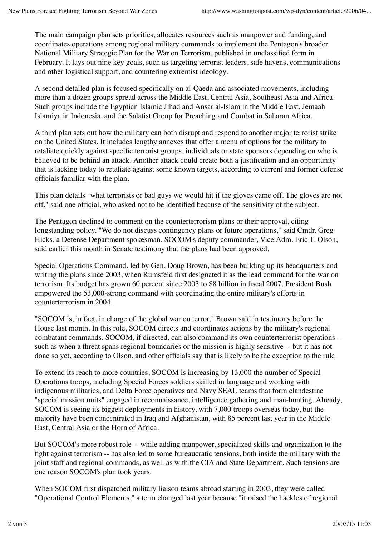The main campaign plan sets priorities, allocates resources such as manpower and funding, and coordinates operations among regional military commands to implement the Pentagon's broader National Military Strategic Plan for the War on Terrorism, published in unclassified form in February. It lays out nine key goals, such as targeting terrorist leaders, safe havens, communications and other logistical support, and countering extremist ideology.

A second detailed plan is focused specifically on al-Qaeda and associated movements, including more than a dozen groups spread across the Middle East, Central Asia, Southeast Asia and Africa. Such groups include the Egyptian Islamic Jihad and Ansar al-Islam in the Middle East, Jemaah Islamiya in Indonesia, and the Salafist Group for Preaching and Combat in Saharan Africa.

A third plan sets out how the military can both disrupt and respond to another major terrorist strike on the United States. It includes lengthy annexes that offer a menu of options for the military to retaliate quickly against specific terrorist groups, individuals or state sponsors depending on who is believed to be behind an attack. Another attack could create both a justification and an opportunity that is lacking today to retaliate against some known targets, according to current and former defense officials familiar with the plan.

This plan details "what terrorists or bad guys we would hit if the gloves came off. The gloves are not off," said one official, who asked not to be identified because of the sensitivity of the subject.

The Pentagon declined to comment on the counterterrorism plans or their approval, citing longstanding policy. "We do not discuss contingency plans or future operations," said Cmdr. Greg Hicks, a Defense Department spokesman. SOCOM's deputy commander, Vice Adm. Eric T. Olson, said earlier this month in Senate testimony that the plans had been approved.

Special Operations Command, led by Gen. Doug Brown, has been building up its headquarters and writing the plans since 2003, when Rumsfeld first designated it as the lead command for the war on terrorism. Its budget has grown 60 percent since 2003 to \$8 billion in fiscal 2007. President Bush empowered the 53,000-strong command with coordinating the entire military's efforts in counterterrorism in 2004.

"SOCOM is, in fact, in charge of the global war on terror," Brown said in testimony before the House last month. In this role, SOCOM directs and coordinates actions by the military's regional combatant commands. SOCOM, if directed, can also command its own counterterrorist operations - such as when a threat spans regional boundaries or the mission is highly sensitive -- but it has not done so yet, according to Olson, and other officials say that is likely to be the exception to the rule.

To extend its reach to more countries, SOCOM is increasing by 13,000 the number of Special Operations troops, including Special Forces soldiers skilled in language and working with indigenous militaries, and Delta Force operatives and Navy SEAL teams that form clandestine "special mission units" engaged in reconnaissance, intelligence gathering and man-hunting. Already, SOCOM is seeing its biggest deployments in history, with 7,000 troops overseas today, but the majority have been concentrated in Iraq and Afghanistan, with 85 percent last year in the Middle East, Central Asia or the Horn of Africa.

But SOCOM's more robust role -- while adding manpower, specialized skills and organization to the fight against terrorism -- has also led to some bureaucratic tensions, both inside the military with the joint staff and regional commands, as well as with the CIA and State Department. Such tensions are one reason SOCOM's plan took years.

When SOCOM first dispatched military liaison teams abroad starting in 2003, they were called "Operational Control Elements," a term changed last year because "it raised the hackles of regional